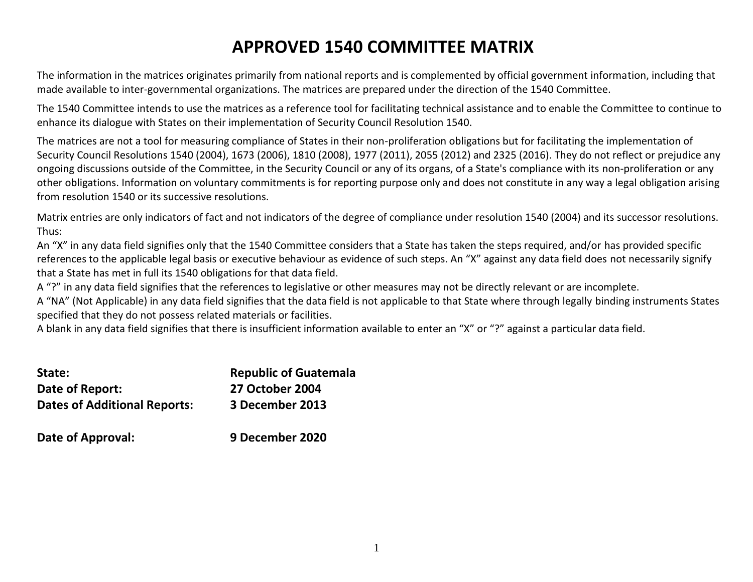## **APPROVED 1540 COMMITTEE MATRIX**

The information in the matrices originates primarily from national reports and is complemented by official government information, including that made available to inter-governmental organizations. The matrices are prepared under the direction of the 1540 Committee.

The 1540 Committee intends to use the matrices as a reference tool for facilitating technical assistance and to enable the Committee to continue to enhance its dialogue with States on their implementation of Security Council Resolution 1540.

The matrices are not a tool for measuring compliance of States in their non-proliferation obligations but for facilitating the implementation of Security Council Resolutions 1540 (2004), 1673 (2006), 1810 (2008), 1977 (2011), 2055 (2012) and 2325 (2016). They do not reflect or prejudice any ongoing discussions outside of the Committee, in the Security Council or any of its organs, of a State's compliance with its non-proliferation or any other obligations. Information on voluntary commitments is for reporting purpose only and does not constitute in any way a legal obligation arising from resolution 1540 or its successive resolutions.

Matrix entries are only indicators of fact and not indicators of the degree of compliance under resolution 1540 (2004) and its successor resolutions. Thus:

An "X" in any data field signifies only that the 1540 Committee considers that a State has taken the steps required, and/or has provided specific references to the applicable legal basis or executive behaviour as evidence of such steps. An "X" against any data field does not necessarily signify that a State has met in full its 1540 obligations for that data field.

A "?" in any data field signifies that the references to legislative or other measures may not be directly relevant or are incomplete.

A "NA" (Not Applicable) in any data field signifies that the data field is not applicable to that State where through legally binding instruments States specified that they do not possess related materials or facilities.

A blank in any data field signifies that there is insufficient information available to enter an "X" or "?" against a particular data field.

| State:                              | <b>Republic of Guatemala</b> |
|-------------------------------------|------------------------------|
| Date of Report:                     | <b>27 October 2004</b>       |
| <b>Dates of Additional Reports:</b> | 3 December 2013              |
| Date of Approval:                   | 9 December 2020              |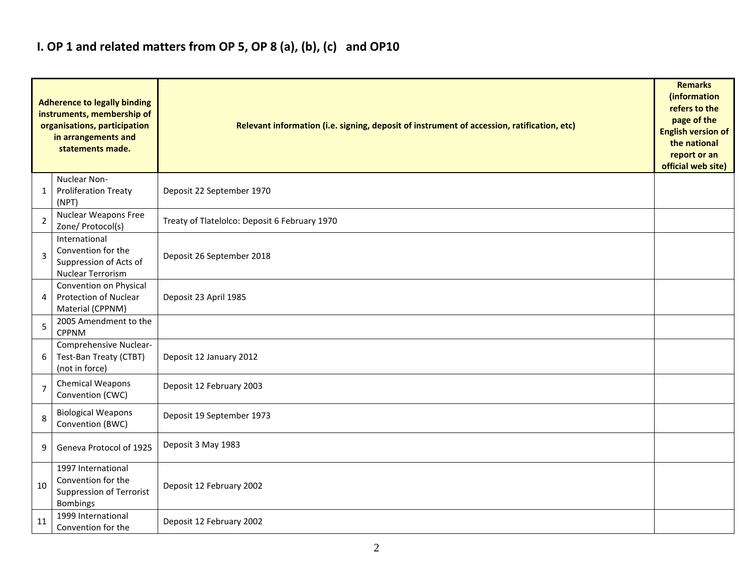### **I. OP 1 and related matters from OP 5, OP 8 (a), (b), (c) and OP10**

|                | <b>Adherence to legally binding</b><br>instruments, membership of<br>organisations, participation<br>in arrangements and<br>statements made. | Relevant information (i.e. signing, deposit of instrument of accession, ratification, etc) |  |  |  |  |  |
|----------------|----------------------------------------------------------------------------------------------------------------------------------------------|--------------------------------------------------------------------------------------------|--|--|--|--|--|
| 1              | Nuclear Non-<br><b>Proliferation Treaty</b><br>(NPT)                                                                                         | Deposit 22 September 1970                                                                  |  |  |  |  |  |
| $\overline{2}$ | <b>Nuclear Weapons Free</b><br>Zone/ Protocol(s)                                                                                             | Treaty of Tlatelolco: Deposit 6 February 1970                                              |  |  |  |  |  |
| 3              | International<br>Convention for the<br>Suppression of Acts of<br><b>Nuclear Terrorism</b>                                                    | Deposit 26 September 2018                                                                  |  |  |  |  |  |
| 4              | Convention on Physical<br><b>Protection of Nuclear</b><br>Material (CPPNM)                                                                   | Deposit 23 April 1985                                                                      |  |  |  |  |  |
| 5              | 2005 Amendment to the<br><b>CPPNM</b>                                                                                                        |                                                                                            |  |  |  |  |  |
| 6              | Comprehensive Nuclear-<br>Test-Ban Treaty (CTBT)<br>(not in force)                                                                           | Deposit 12 January 2012                                                                    |  |  |  |  |  |
| $\overline{7}$ | <b>Chemical Weapons</b><br>Convention (CWC)                                                                                                  | Deposit 12 February 2003                                                                   |  |  |  |  |  |
| 8              | <b>Biological Weapons</b><br>Convention (BWC)                                                                                                | Deposit 19 September 1973                                                                  |  |  |  |  |  |
| 9              | Geneva Protocol of 1925                                                                                                                      | Deposit 3 May 1983                                                                         |  |  |  |  |  |
| 10             | 1997 International<br>Convention for the<br><b>Suppression of Terrorist</b><br><b>Bombings</b>                                               | Deposit 12 February 2002                                                                   |  |  |  |  |  |
| 11             | 1999 International<br>Convention for the                                                                                                     | Deposit 12 February 2002                                                                   |  |  |  |  |  |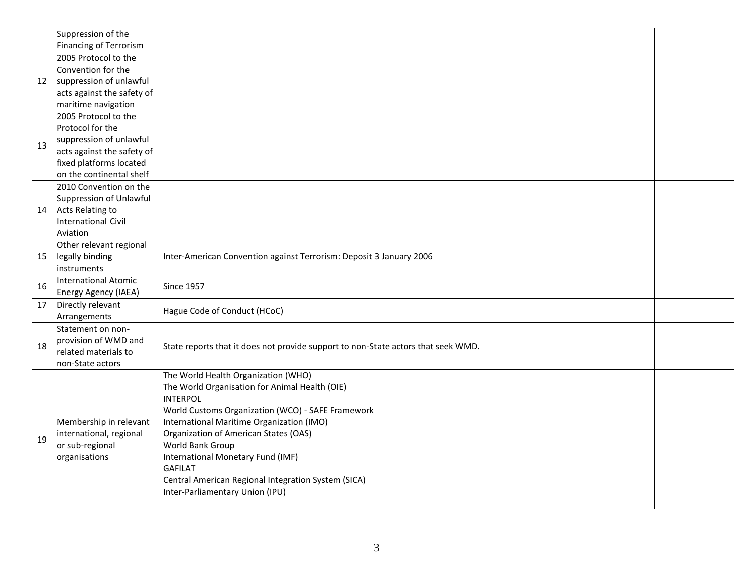|    | Suppression of the<br><b>Financing of Terrorism</b>                                                                                                      |                                                                                                                                                                                                                                                                                                                                                                                                                          |  |
|----|----------------------------------------------------------------------------------------------------------------------------------------------------------|--------------------------------------------------------------------------------------------------------------------------------------------------------------------------------------------------------------------------------------------------------------------------------------------------------------------------------------------------------------------------------------------------------------------------|--|
| 12 | 2005 Protocol to the<br>Convention for the<br>suppression of unlawful<br>acts against the safety of<br>maritime navigation                               |                                                                                                                                                                                                                                                                                                                                                                                                                          |  |
| 13 | 2005 Protocol to the<br>Protocol for the<br>suppression of unlawful<br>acts against the safety of<br>fixed platforms located<br>on the continental shelf |                                                                                                                                                                                                                                                                                                                                                                                                                          |  |
| 14 | 2010 Convention on the<br>Suppression of Unlawful<br>Acts Relating to<br><b>International Civil</b><br>Aviation                                          |                                                                                                                                                                                                                                                                                                                                                                                                                          |  |
| 15 | Other relevant regional<br>legally binding<br>instruments                                                                                                | Inter-American Convention against Terrorism: Deposit 3 January 2006                                                                                                                                                                                                                                                                                                                                                      |  |
| 16 | <b>International Atomic</b><br>Energy Agency (IAEA)                                                                                                      | <b>Since 1957</b>                                                                                                                                                                                                                                                                                                                                                                                                        |  |
| 17 | Directly relevant<br>Arrangements                                                                                                                        | Hague Code of Conduct (HCoC)                                                                                                                                                                                                                                                                                                                                                                                             |  |
| 18 | Statement on non-<br>provision of WMD and<br>related materials to<br>non-State actors                                                                    | State reports that it does not provide support to non-State actors that seek WMD.                                                                                                                                                                                                                                                                                                                                        |  |
| 19 | Membership in relevant<br>international, regional<br>or sub-regional<br>organisations                                                                    | The World Health Organization (WHO)<br>The World Organisation for Animal Health (OIE)<br><b>INTERPOL</b><br>World Customs Organization (WCO) - SAFE Framework<br>International Maritime Organization (IMO)<br>Organization of American States (OAS)<br>World Bank Group<br>International Monetary Fund (IMF)<br><b>GAFILAT</b><br>Central American Regional Integration System (SICA)<br>Inter-Parliamentary Union (IPU) |  |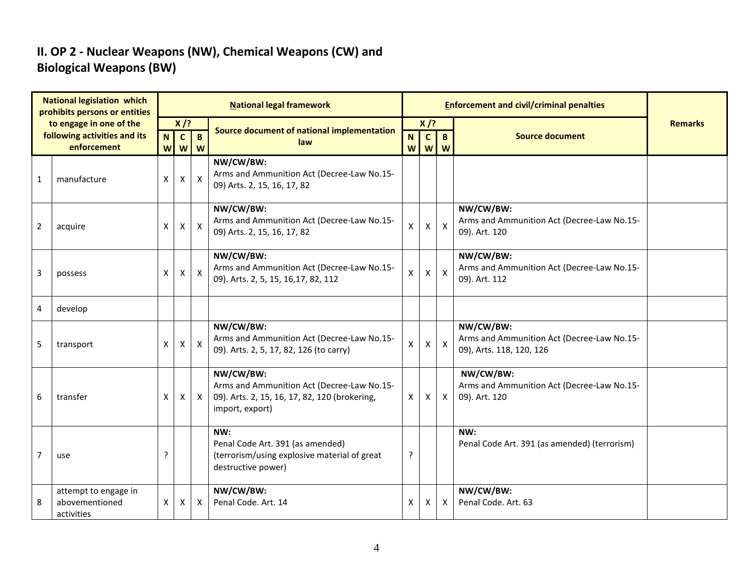#### **II. OP 2 - Nuclear Weapons (NW), Chemical Weapons (CW) and Biological Weapons (BW)**

| <b>National legislation which</b><br>prohibits persons or entities |                                                      |                              |              |                           | <b>National legal framework</b>                                                                                             |         |                   | <b>Enforcement and civil/criminal penalties</b> |                                                                                     |                |
|--------------------------------------------------------------------|------------------------------------------------------|------------------------------|--------------|---------------------------|-----------------------------------------------------------------------------------------------------------------------------|---------|-------------------|-------------------------------------------------|-------------------------------------------------------------------------------------|----------------|
|                                                                    | to engage in one of the                              |                              | $X$ /?       |                           | Source document of national implementation                                                                                  |         | $X$ /?            |                                                 |                                                                                     | <b>Remarks</b> |
|                                                                    | following activities and its<br>enforcement          | $\overline{\mathsf{N}}$<br>W | $\mathbf{c}$ | $\mathbf{B}$<br>$W$ $W$   | law                                                                                                                         | N.<br>W | $\mathbf{C}$<br>W | $\overline{B}$<br>W                             | <b>Source document</b>                                                              |                |
| $\mathbf{1}$                                                       | manufacture                                          | $\pmb{\mathsf{X}}$           | Χ            | $\pmb{\times}$            | NW/CW/BW:<br>Arms and Ammunition Act (Decree-Law No.15-<br>09) Arts. 2, 15, 16, 17, 82                                      |         |                   |                                                 |                                                                                     |                |
| $\overline{2}$                                                     | acquire                                              | X                            | X            | $\mathsf{X}$              | NW/CW/BW:<br>Arms and Ammunition Act (Decree-Law No.15-<br>09) Arts. 2, 15, 16, 17, 82                                      | X       | $\mathsf{X}$      | $\mathsf{x}$                                    | NW/CW/BW:<br>Arms and Ammunition Act (Decree-Law No.15-<br>09). Art. 120            |                |
| 3                                                                  | possess                                              | X                            | X            | $\boldsymbol{\mathsf{X}}$ | NW/CW/BW:<br>Arms and Ammunition Act (Decree-Law No.15-<br>09). Arts. 2, 5, 15, 16, 17, 82, 112                             | X       | $\mathsf{X}$      | $\mathsf X$                                     | NW/CW/BW:<br>Arms and Ammunition Act (Decree-Law No.15-<br>09). Art. 112            |                |
| 4                                                                  | develop                                              |                              |              |                           |                                                                                                                             |         |                   |                                                 |                                                                                     |                |
| 5                                                                  | transport                                            | $\pmb{\times}$               | X            | $\mathsf{X}$              | NW/CW/BW:<br>Arms and Ammunition Act (Decree-Law No.15-<br>09). Arts. 2, 5, 17, 82, 126 (to carry)                          | X       | $\mathsf{X}$      | $\mathsf{x}$                                    | NW/CW/BW:<br>Arms and Ammunition Act (Decree-Law No.15-<br>09), Arts. 118, 120, 126 |                |
| 6                                                                  | transfer                                             | X                            | X            | $\mathsf{X}$              | NW/CW/BW:<br>Arms and Ammunition Act (Decree-Law No.15-<br>09). Arts. 2, 15, 16, 17, 82, 120 (brokering,<br>import, export) | X       | $\mathsf{X}$      | $\mathsf{X}$                                    | NW/CW/BW:<br>Arms and Ammunition Act (Decree-Law No.15-<br>09). Art. 120            |                |
| 7                                                                  | use                                                  | ?                            |              |                           | NW:<br>Penal Code Art. 391 (as amended)<br>(terrorism/using explosive material of great<br>destructive power)               | ?       |                   |                                                 | NW:<br>Penal Code Art. 391 (as amended) (terrorism)                                 |                |
| 8                                                                  | attempt to engage in<br>abovementioned<br>activities | X                            | Χ            | $\times$                  | NW/CW/BW:<br>Penal Code, Art. 14                                                                                            | X       | X                 | $\mathsf{X}$                                    | NW/CW/BW:<br>Penal Code. Art. 63                                                    |                |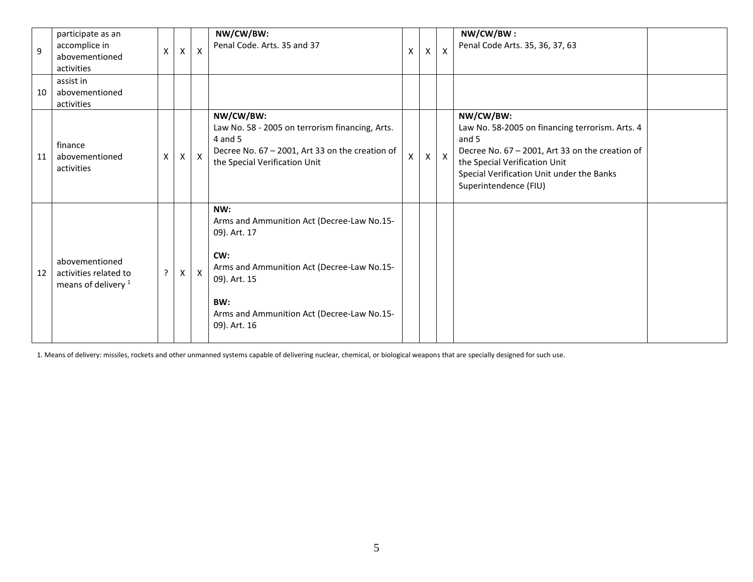| $\mathbf{q}$ | participate as an<br>accomplice in<br>abovementioned<br>activities        | $\boldsymbol{\mathsf{X}}$ | $\mathsf{X}$ | $\mathsf{X}$ | NW/CW/BW:<br>Penal Code. Arts. 35 and 37                                                                                                                                                                    | X            | X                  | $\boldsymbol{\mathsf{x}}$ | NW/CW/BW:<br>Penal Code Arts. 35, 36, 37, 63                                                                                                                                                                                    |  |
|--------------|---------------------------------------------------------------------------|---------------------------|--------------|--------------|-------------------------------------------------------------------------------------------------------------------------------------------------------------------------------------------------------------|--------------|--------------------|---------------------------|---------------------------------------------------------------------------------------------------------------------------------------------------------------------------------------------------------------------------------|--|
| 10           | assist in<br>abovementioned<br>activities                                 |                           |              |              |                                                                                                                                                                                                             |              |                    |                           |                                                                                                                                                                                                                                 |  |
| 11           | finance<br>abovementioned<br>activities                                   | X                         | $\mathsf{X}$ | $\mathsf{X}$ | NW/CW/BW:<br>Law No. 58 - 2005 on terrorism financing, Arts.<br>4 and 5<br>Decree No. 67 - 2001, Art 33 on the creation of<br>the Special Verification Unit                                                 | $\mathsf{x}$ | $\pmb{\mathsf{X}}$ | $\mathsf{X}$              | NW/CW/BW:<br>Law No. 58-2005 on financing terrorism. Arts. 4<br>and 5<br>Decree No. 67 - 2001, Art 33 on the creation of<br>the Special Verification Unit<br>Special Verification Unit under the Banks<br>Superintendence (FIU) |  |
| 12           | abovementioned<br>activities related to<br>means of delivery <sup>1</sup> | $\cdot$                   | X            | $\mathsf{X}$ | NW:<br>Arms and Ammunition Act (Decree-Law No.15-<br>09). Art. 17<br>CW:<br>Arms and Ammunition Act (Decree-Law No.15-<br>09). Art. 15<br>BW:<br>Arms and Ammunition Act (Decree-Law No.15-<br>09). Art. 16 |              |                    |                           |                                                                                                                                                                                                                                 |  |

1. Means of delivery: missiles, rockets and other unmanned systems capable of delivering nuclear, chemical, or biological weapons that are specially designed for such use.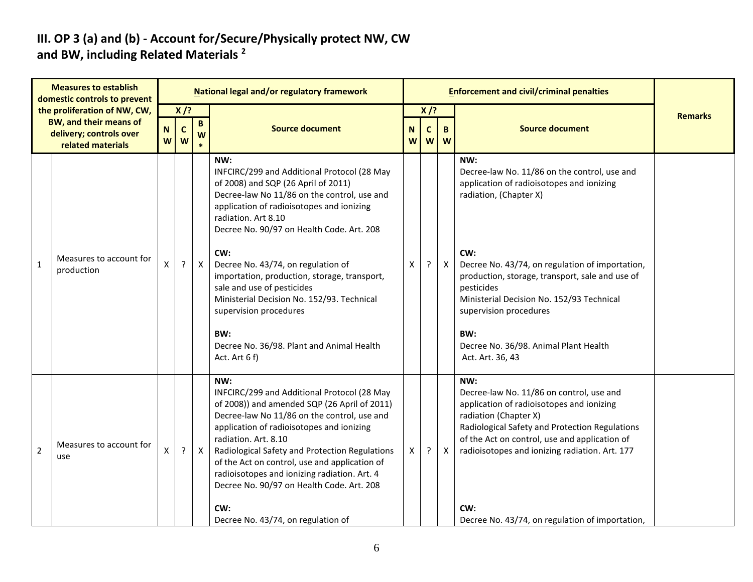#### **III. OP 3 (a) and (b) - Account for/Secure/Physically protect NW, CW and BW, including Related Materials <sup>2</sup>**

| <b>Measures to establish</b><br>domestic controls to prevent |                                                                                                               | National legal and/or regulatory framework |                            |                   |                                                                                                                                                                                                                                                                                                                                                                                                                                                                                                                                   |        |                            |              | <b>Enforcement and civil/criminal penalties</b>                                                                                                                                                                                                                                                                                                                                                  |                |  |  |  |
|--------------------------------------------------------------|---------------------------------------------------------------------------------------------------------------|--------------------------------------------|----------------------------|-------------------|-----------------------------------------------------------------------------------------------------------------------------------------------------------------------------------------------------------------------------------------------------------------------------------------------------------------------------------------------------------------------------------------------------------------------------------------------------------------------------------------------------------------------------------|--------|----------------------------|--------------|--------------------------------------------------------------------------------------------------------------------------------------------------------------------------------------------------------------------------------------------------------------------------------------------------------------------------------------------------------------------------------------------------|----------------|--|--|--|
|                                                              | the proliferation of NW, CW,<br><b>BW, and their means of</b><br>delivery; controls over<br>related materials | ${\sf N}$<br>W                             | $X$ /?<br>$\mathbf c$<br>W | $\mathbf{B}$<br>W | <b>Source document</b>                                                                                                                                                                                                                                                                                                                                                                                                                                                                                                            | N<br>W | $X$ /?<br>$\mathbf c$<br>W | B<br>W       | <b>Source document</b>                                                                                                                                                                                                                                                                                                                                                                           | <b>Remarks</b> |  |  |  |
| $\mathbf{1}$                                                 | Measures to account for<br>production                                                                         | X                                          | ?                          | $\mathsf{X}$      | NW:<br>INFCIRC/299 and Additional Protocol (28 May<br>of 2008) and SQP (26 April of 2011)<br>Decree-law No 11/86 on the control, use and<br>application of radioisotopes and ionizing<br>radiation. Art 8.10<br>Decree No. 90/97 on Health Code. Art. 208<br>CW:<br>Decree No. 43/74, on regulation of<br>importation, production, storage, transport,<br>sale and use of pesticides<br>Ministerial Decision No. 152/93. Technical<br>supervision procedures<br>BW:<br>Decree No. 36/98. Plant and Animal Health<br>Act. Art 6 f) | Χ      | $\cdot$                    | $\mathsf{X}$ | NW:<br>Decree-law No. 11/86 on the control, use and<br>application of radioisotopes and ionizing<br>radiation, (Chapter X)<br>CW:<br>Decree No. 43/74, on regulation of importation,<br>production, storage, transport, sale and use of<br>pesticides<br>Ministerial Decision No. 152/93 Technical<br>supervision procedures<br>BW:<br>Decree No. 36/98. Animal Plant Health<br>Act. Art. 36, 43 |                |  |  |  |
| $\overline{2}$                                               | Measures to account for<br>use                                                                                | X                                          | ?                          | $\mathsf{X}$      | NW:<br>INFCIRC/299 and Additional Protocol (28 May<br>of 2008)) and amended SQP (26 April of 2011)<br>Decree-law No 11/86 on the control, use and<br>application of radioisotopes and ionizing<br>radiation. Art. 8.10<br>Radiological Safety and Protection Regulations<br>of the Act on control, use and application of<br>radioisotopes and ionizing radiation. Art. 4<br>Decree No. 90/97 on Health Code. Art. 208<br>CW:<br>Decree No. 43/74, on regulation of                                                               | Χ      | ?                          | $\mathsf{X}$ | NW:<br>Decree-law No. 11/86 on control, use and<br>application of radioisotopes and ionizing<br>radiation (Chapter X)<br>Radiological Safety and Protection Regulations<br>of the Act on control, use and application of<br>radioisotopes and ionizing radiation. Art. 177<br>CW:<br>Decree No. 43/74, on regulation of importation,                                                             |                |  |  |  |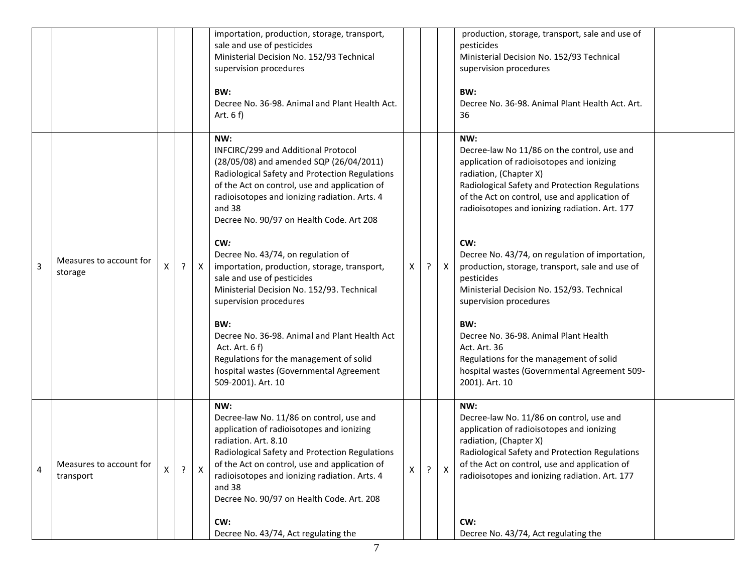|                |                                      |   |              | importation, production, storage, transport,<br>sale and use of pesticides<br>Ministerial Decision No. 152/93 Technical<br>supervision procedures<br>BW:<br>Decree No. 36-98. Animal and Plant Health Act.<br>Art. $6 f$                                                                                                                                                                     |                    |         |              | production, storage, transport, sale and use of<br>pesticides<br>Ministerial Decision No. 152/93 Technical<br>supervision procedures<br>BW:<br>Decree No. 36-98. Animal Plant Health Act. Art.<br>36                                                                                                                                                                                        |  |
|----------------|--------------------------------------|---|--------------|----------------------------------------------------------------------------------------------------------------------------------------------------------------------------------------------------------------------------------------------------------------------------------------------------------------------------------------------------------------------------------------------|--------------------|---------|--------------|---------------------------------------------------------------------------------------------------------------------------------------------------------------------------------------------------------------------------------------------------------------------------------------------------------------------------------------------------------------------------------------------|--|
| 3              | Measures to account for              | ? | $\mathsf{X}$ | NW:<br>INFCIRC/299 and Additional Protocol<br>(28/05/08) and amended SQP (26/04/2011)<br>Radiological Safety and Protection Regulations<br>of the Act on control, use and application of<br>radioisotopes and ionizing radiation. Arts. 4<br>and 38<br>Decree No. 90/97 on Health Code. Art 208<br>CW:<br>Decree No. 43/74, on regulation of<br>importation, production, storage, transport, | Χ                  | $\cdot$ | $\mathsf{X}$ | NW:<br>Decree-law No 11/86 on the control, use and<br>application of radioisotopes and ionizing<br>radiation, (Chapter X)<br>Radiological Safety and Protection Regulations<br>of the Act on control, use and application of<br>radioisotopes and ionizing radiation. Art. 177<br>CW:<br>Decree No. 43/74, on regulation of importation,<br>production, storage, transport, sale and use of |  |
|                | storage                              |   |              | sale and use of pesticides<br>Ministerial Decision No. 152/93. Technical<br>supervision procedures<br>BW:<br>Decree No. 36-98. Animal and Plant Health Act<br>Act. Art. 6 f)<br>Regulations for the management of solid<br>hospital wastes (Governmental Agreement<br>509-2001). Art. 10                                                                                                     |                    |         |              | pesticides<br>Ministerial Decision No. 152/93. Technical<br>supervision procedures<br>BW:<br>Decree No. 36-98. Animal Plant Health<br>Act. Art. 36<br>Regulations for the management of solid<br>hospital wastes (Governmental Agreement 509-<br>2001). Art. 10                                                                                                                             |  |
| $\overline{4}$ | Measures to account for<br>transport | ? | X            | NW:<br>Decree-law No. 11/86 on control, use and<br>application of radioisotopes and ionizing<br>radiation. Art. 8.10<br>Radiological Safety and Protection Regulations<br>of the Act on control, use and application of<br>radioisotopes and ionizing radiation. Arts. 4<br>and 38<br>Decree No. 90/97 on Health Code. Art. 208<br>CW:<br>Decree No. 43/74, Act regulating the               | $\pmb{\mathsf{X}}$ | ?       | X            | NW:<br>Decree-law No. 11/86 on control, use and<br>application of radioisotopes and ionizing<br>radiation, (Chapter X)<br>Radiological Safety and Protection Regulations<br>of the Act on control, use and application of<br>radioisotopes and ionizing radiation. Art. 177<br>CW:<br>Decree No. 43/74, Act regulating the                                                                  |  |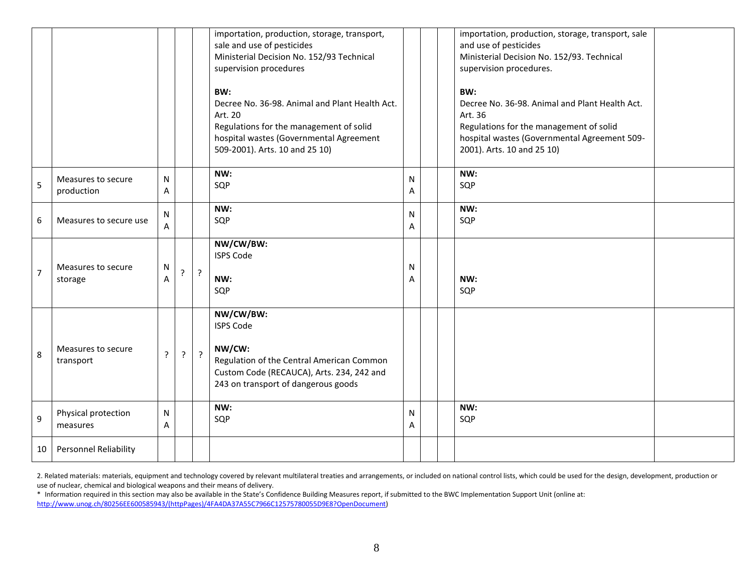|                |                                  |        |         |         | importation, production, storage, transport,<br>sale and use of pesticides<br>Ministerial Decision No. 152/93 Technical<br>supervision procedures<br>BW:<br>Decree No. 36-98. Animal and Plant Health Act.<br>Art. 20<br>Regulations for the management of solid<br>hospital wastes (Governmental Agreement<br>509-2001). Arts. 10 and 25 10) |                   |  | importation, production, storage, transport, sale<br>and use of pesticides<br>Ministerial Decision No. 152/93. Technical<br>supervision procedures.<br>BW:<br>Decree No. 36-98. Animal and Plant Health Act.<br>Art. 36<br>Regulations for the management of solid<br>hospital wastes (Governmental Agreement 509-<br>2001). Arts. 10 and 25 10) |  |
|----------------|----------------------------------|--------|---------|---------|-----------------------------------------------------------------------------------------------------------------------------------------------------------------------------------------------------------------------------------------------------------------------------------------------------------------------------------------------|-------------------|--|--------------------------------------------------------------------------------------------------------------------------------------------------------------------------------------------------------------------------------------------------------------------------------------------------------------------------------------------------|--|
| 5              | Measures to secure<br>production | N<br>Α |         |         | NW:<br>SQP                                                                                                                                                                                                                                                                                                                                    | N<br>A            |  | NW:<br>SQP                                                                                                                                                                                                                                                                                                                                       |  |
| $6\,$          | Measures to secure use           | N<br>Α |         |         | NW:<br>SQP                                                                                                                                                                                                                                                                                                                                    | N<br>Α            |  | NW:<br>SQP                                                                                                                                                                                                                                                                                                                                       |  |
| $\overline{7}$ | Measures to secure<br>storage    | Ν<br>Α | ŗ       | $\cdot$ | NW/CW/BW:<br><b>ISPS Code</b><br>NW:<br>SQP                                                                                                                                                                                                                                                                                                   | $\mathsf{N}$<br>Α |  | NW:<br>SQP                                                                                                                                                                                                                                                                                                                                       |  |
| 8              | Measures to secure<br>transport  | ?      | $\cdot$ | $\cdot$ | NW/CW/BW:<br><b>ISPS Code</b><br>NW/CW:<br>Regulation of the Central American Common<br>Custom Code (RECAUCA), Arts. 234, 242 and<br>243 on transport of dangerous goods                                                                                                                                                                      |                   |  |                                                                                                                                                                                                                                                                                                                                                  |  |
| 9              | Physical protection<br>measures  | N<br>A |         |         | NW:<br>SQP                                                                                                                                                                                                                                                                                                                                    | ${\sf N}$<br>Α    |  | NW:<br>SQP                                                                                                                                                                                                                                                                                                                                       |  |
| 10             | Personnel Reliability            |        |         |         |                                                                                                                                                                                                                                                                                                                                               |                   |  |                                                                                                                                                                                                                                                                                                                                                  |  |

2. Related materials: materials, equipment and technology covered by relevant multilateral treaties and arrangements, or included on national control lists, which could be used for the design, development, production or use of nuclear, chemical and biological weapons and their means of delivery.

\* Information required in this section may also be available in the State's Confidence Building Measures report, if submitted to the BWC Implementation Support Unit (online at: [http://www.unog.ch/80256EE600585943/\(httpPages\)/4FA4DA37A55C7966C12575780055D9E8?OpenDocument\)](http://www.unog.ch/80256EE600585943/(httpPages)/4FA4DA37A55C7966C12575780055D9E8?OpenDocument)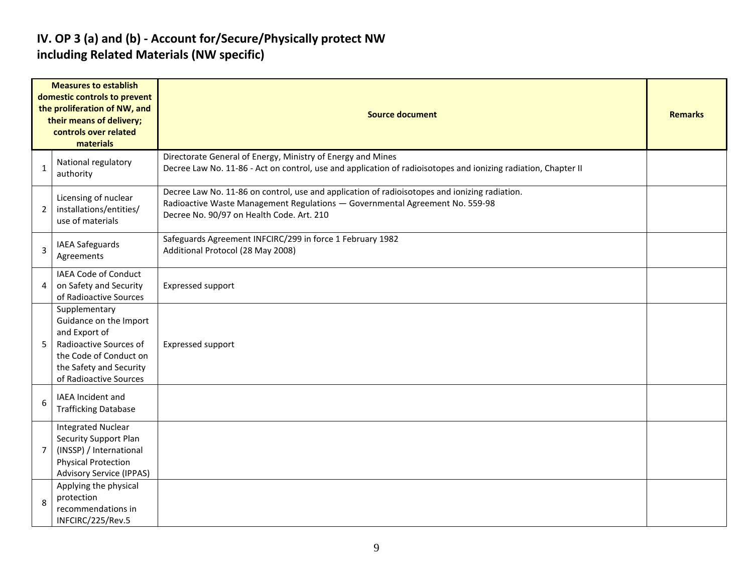#### **IV. OP 3 (a) and (b) - Account for/Secure/Physically protect NW including Related Materials (NW specific)**

| <b>Measures to establish</b><br>domestic controls to prevent<br>the proliferation of NW, and<br>their means of delivery;<br>controls over related<br>materials |                                                                                                                                                                   | <b>Source document</b>                                                                                                                                                                                                     |  |  |  |  |
|----------------------------------------------------------------------------------------------------------------------------------------------------------------|-------------------------------------------------------------------------------------------------------------------------------------------------------------------|----------------------------------------------------------------------------------------------------------------------------------------------------------------------------------------------------------------------------|--|--|--|--|
| 1                                                                                                                                                              | National regulatory<br>authority                                                                                                                                  | Directorate General of Energy, Ministry of Energy and Mines<br>Decree Law No. 11-86 - Act on control, use and application of radioisotopes and ionizing radiation, Chapter II                                              |  |  |  |  |
| $\overline{2}$                                                                                                                                                 | Licensing of nuclear<br>installations/entities/<br>use of materials                                                                                               | Decree Law No. 11-86 on control, use and application of radioisotopes and ionizing radiation.<br>Radioactive Waste Management Regulations - Governmental Agreement No. 559-98<br>Decree No. 90/97 on Health Code. Art. 210 |  |  |  |  |
| 3                                                                                                                                                              | IAEA Safeguards<br>Agreements                                                                                                                                     | Safeguards Agreement INFCIRC/299 in force 1 February 1982<br>Additional Protocol (28 May 2008)                                                                                                                             |  |  |  |  |
| 4                                                                                                                                                              | IAEA Code of Conduct<br>on Safety and Security<br>of Radioactive Sources                                                                                          | <b>Expressed support</b>                                                                                                                                                                                                   |  |  |  |  |
| 5                                                                                                                                                              | Supplementary<br>Guidance on the Import<br>and Export of<br>Radioactive Sources of<br>the Code of Conduct on<br>the Safety and Security<br>of Radioactive Sources | Expressed support                                                                                                                                                                                                          |  |  |  |  |
| 6                                                                                                                                                              | IAEA Incident and<br><b>Trafficking Database</b>                                                                                                                  |                                                                                                                                                                                                                            |  |  |  |  |
| $\overline{7}$                                                                                                                                                 | <b>Integrated Nuclear</b><br>Security Support Plan<br>(INSSP) / International<br><b>Physical Protection</b><br><b>Advisory Service (IPPAS)</b>                    |                                                                                                                                                                                                                            |  |  |  |  |
| 8                                                                                                                                                              | Applying the physical<br>protection<br>recommendations in<br>INFCIRC/225/Rev.5                                                                                    |                                                                                                                                                                                                                            |  |  |  |  |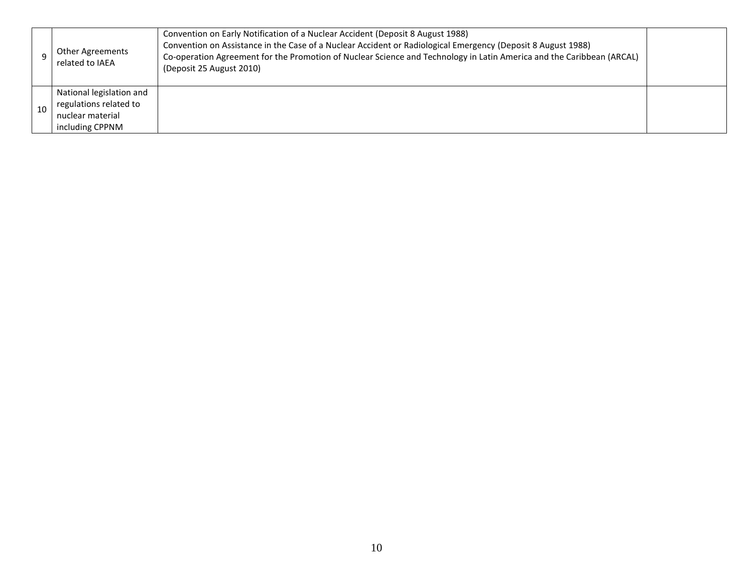| Other Agreements<br>related to IAEA                                                       | Convention on Early Notification of a Nuclear Accident (Deposit 8 August 1988)<br>Convention on Assistance in the Case of a Nuclear Accident or Radiological Emergency (Deposit 8 August 1988)<br>Co-operation Agreement for the Promotion of Nuclear Science and Technology in Latin America and the Caribbean (ARCAL)<br>(Deposit 25 August 2010) |  |
|-------------------------------------------------------------------------------------------|-----------------------------------------------------------------------------------------------------------------------------------------------------------------------------------------------------------------------------------------------------------------------------------------------------------------------------------------------------|--|
| National legislation and<br>regulations related to<br>nuclear material<br>including CPPNM |                                                                                                                                                                                                                                                                                                                                                     |  |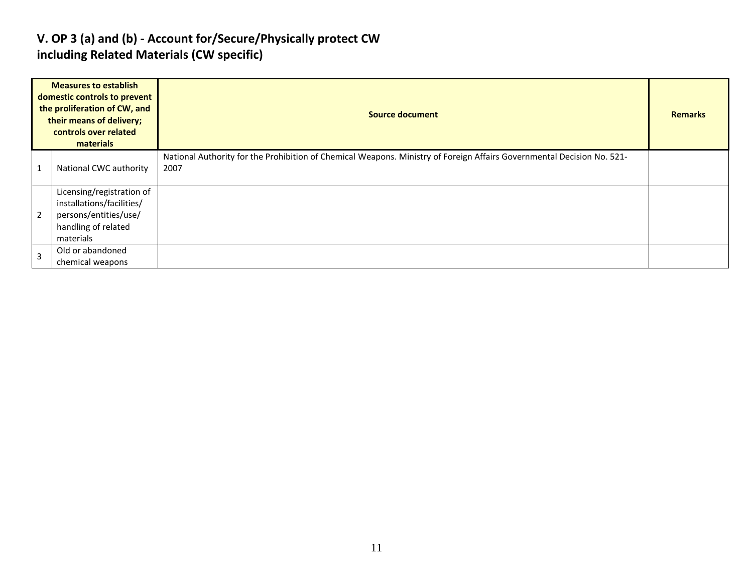#### **V. OP 3 (a) and (b) - Account for/Secure/Physically protect CW including Related Materials (CW specific)**

| <b>Measures to establish</b><br>domestic controls to prevent<br>the proliferation of CW, and<br>their means of delivery;<br>controls over related<br>materials |                                                                                                                     | <b>Source document</b>                                                                                                         |  |  |  |  |
|----------------------------------------------------------------------------------------------------------------------------------------------------------------|---------------------------------------------------------------------------------------------------------------------|--------------------------------------------------------------------------------------------------------------------------------|--|--|--|--|
|                                                                                                                                                                | National CWC authority                                                                                              | National Authority for the Prohibition of Chemical Weapons. Ministry of Foreign Affairs Governmental Decision No. 521-<br>2007 |  |  |  |  |
| $\overline{2}$                                                                                                                                                 | Licensing/registration of<br>installations/facilities/<br>persons/entities/use/<br>handling of related<br>materials |                                                                                                                                |  |  |  |  |
| $\overline{3}$                                                                                                                                                 | Old or abandoned<br>chemical weapons                                                                                |                                                                                                                                |  |  |  |  |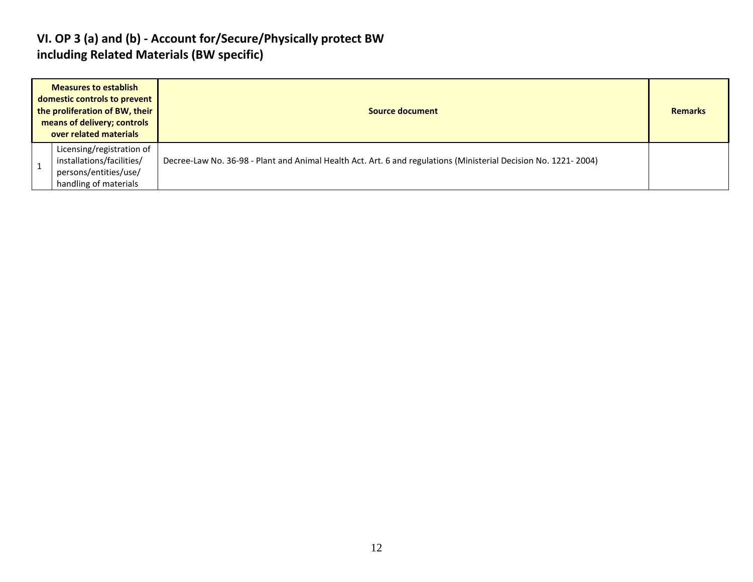#### **VI. OP 3 (a) and (b) - Account for/Secure/Physically protect BW including Related Materials (BW specific)**

| <b>Measures to establish</b><br>domestic controls to prevent<br>the proliferation of BW, their<br>means of delivery; controls<br>over related materials | Source document                                                                                                 | <b>Remarks</b> |
|---------------------------------------------------------------------------------------------------------------------------------------------------------|-----------------------------------------------------------------------------------------------------------------|----------------|
| Licensing/registration of<br>installations/facilities/<br>persons/entities/use/<br>handling of materials                                                | Decree-Law No. 36-98 - Plant and Animal Health Act. Art. 6 and regulations (Ministerial Decision No. 1221-2004) |                |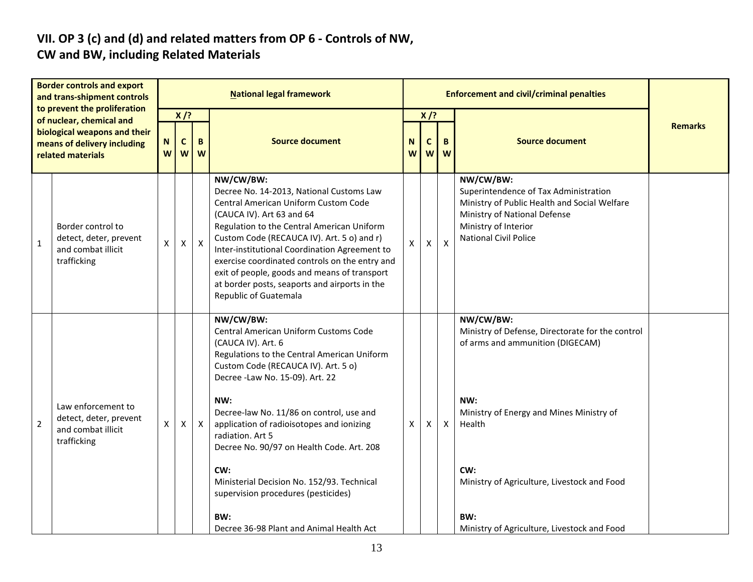# **VII. OP 3 (c) and (d) and related matters from OP 6 - Controls of NW,**

### **CW and BW, including Related Materials**

| <b>Border controls and export</b><br>and trans-shipment controls<br>to prevent the proliferation |                                                                                   | <b>National legal framework</b> |                  |              |                                                                                                                                                                                                                                                                                                                                                                                                                                                                        |   |                | <b>Enforcement and civil/criminal penalties</b> |                                                                                                                                                                                                                             |  |  |  |
|--------------------------------------------------------------------------------------------------|-----------------------------------------------------------------------------------|---------------------------------|------------------|--------------|------------------------------------------------------------------------------------------------------------------------------------------------------------------------------------------------------------------------------------------------------------------------------------------------------------------------------------------------------------------------------------------------------------------------------------------------------------------------|---|----------------|-------------------------------------------------|-----------------------------------------------------------------------------------------------------------------------------------------------------------------------------------------------------------------------------|--|--|--|
|                                                                                                  | of nuclear, chemical and                                                          |                                 | $X$ /?           |              |                                                                                                                                                                                                                                                                                                                                                                                                                                                                        |   | $X$ /?         |                                                 |                                                                                                                                                                                                                             |  |  |  |
| biological weapons and their<br>means of delivery including<br>related materials                 |                                                                                   | N<br>W                          | $\mathbf c$<br>W | B<br>W       | <b>Source document</b><br><b>Source document</b><br>N<br>C<br>B<br>W<br>W<br>W                                                                                                                                                                                                                                                                                                                                                                                         |   | <b>Remarks</b> |                                                 |                                                                                                                                                                                                                             |  |  |  |
| $\mathbf{1}$                                                                                     | Border control to<br>detect, deter, prevent<br>and combat illicit<br>trafficking  | X                               | X                | $\mathsf{X}$ | NW/CW/BW:<br>Decree No. 14-2013, National Customs Law<br>Central American Uniform Custom Code<br>(CAUCA IV). Art 63 and 64<br>Regulation to the Central American Uniform<br>Custom Code (RECAUCA IV). Art. 5 o) and r)<br>Inter-institutional Coordination Agreement to<br>exercise coordinated controls on the entry and<br>exit of people, goods and means of transport<br>at border posts, seaports and airports in the<br>Republic of Guatemala                    | X | X              | $\mathsf{x}$                                    | NW/CW/BW:<br>Superintendence of Tax Administration<br>Ministry of Public Health and Social Welfare<br>Ministry of National Defense<br>Ministry of Interior<br><b>National Civil Police</b>                                  |  |  |  |
| $\overline{2}$                                                                                   | Law enforcement to<br>detect, deter, prevent<br>and combat illicit<br>trafficking | $\pmb{\mathsf{X}}$              | X                | $\mathsf{X}$ | NW/CW/BW:<br>Central American Uniform Customs Code<br>(CAUCA IV). Art. 6<br>Regulations to the Central American Uniform<br>Custom Code (RECAUCA IV). Art. 5 o)<br>Decree - Law No. 15-09). Art. 22<br>NW:<br>Decree-law No. 11/86 on control, use and<br>application of radioisotopes and ionizing<br>radiation. Art 5<br>Decree No. 90/97 on Health Code. Art. 208<br>CW:<br>Ministerial Decision No. 152/93. Technical<br>supervision procedures (pesticides)<br>BW: | X | X              | $\mathsf{X}$                                    | NW/CW/BW:<br>Ministry of Defense, Directorate for the control<br>of arms and ammunition (DIGECAM)<br>NW:<br>Ministry of Energy and Mines Ministry of<br>Health<br>CW:<br>Ministry of Agriculture, Livestock and Food<br>BW: |  |  |  |
|                                                                                                  |                                                                                   |                                 |                  |              | Decree 36-98 Plant and Animal Health Act                                                                                                                                                                                                                                                                                                                                                                                                                               |   |                |                                                 | Ministry of Agriculture, Livestock and Food                                                                                                                                                                                 |  |  |  |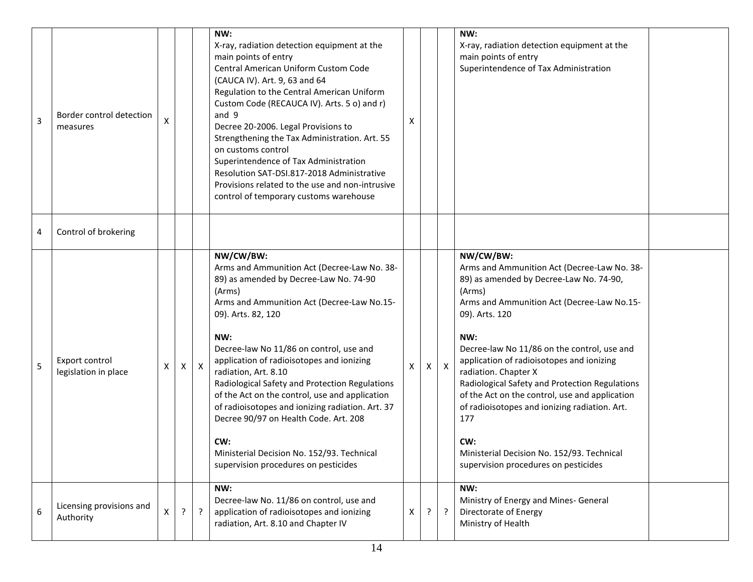| 3 | Border control detection<br>measures   | X |   |              | NW:<br>X-ray, radiation detection equipment at the<br>main points of entry<br>Central American Uniform Custom Code<br>(CAUCA IV). Art. 9, 63 and 64<br>Regulation to the Central American Uniform<br>Custom Code (RECAUCA IV). Arts. 5 o) and r)<br>and 9<br>Decree 20-2006. Legal Provisions to<br>Strengthening the Tax Administration. Art. 55<br>on customs control<br>Superintendence of Tax Administration<br>Resolution SAT-DSI.817-2018 Administrative<br>Provisions related to the use and non-intrusive<br>control of temporary customs warehouse                                           | X |   |              | NW:<br>X-ray, radiation detection equipment at the<br>main points of entry<br>Superintendence of Tax Administration                                                                                                                                                                                                                                                                                                                                                                                                                                               |  |
|---|----------------------------------------|---|---|--------------|-------------------------------------------------------------------------------------------------------------------------------------------------------------------------------------------------------------------------------------------------------------------------------------------------------------------------------------------------------------------------------------------------------------------------------------------------------------------------------------------------------------------------------------------------------------------------------------------------------|---|---|--------------|-------------------------------------------------------------------------------------------------------------------------------------------------------------------------------------------------------------------------------------------------------------------------------------------------------------------------------------------------------------------------------------------------------------------------------------------------------------------------------------------------------------------------------------------------------------------|--|
| 4 | Control of brokering                   |   |   |              |                                                                                                                                                                                                                                                                                                                                                                                                                                                                                                                                                                                                       |   |   |              |                                                                                                                                                                                                                                                                                                                                                                                                                                                                                                                                                                   |  |
| 5 | Export control<br>legislation in place | X | X | $\mathsf{X}$ | NW/CW/BW:<br>Arms and Ammunition Act (Decree-Law No. 38-<br>89) as amended by Decree-Law No. 74-90<br>(Arms)<br>Arms and Ammunition Act (Decree-Law No.15-<br>09). Arts. 82, 120<br>NW:<br>Decree-law No 11/86 on control, use and<br>application of radioisotopes and ionizing<br>radiation, Art. 8.10<br>Radiological Safety and Protection Regulations<br>of the Act on the control, use and application<br>of radioisotopes and ionizing radiation. Art. 37<br>Decree 90/97 on Health Code. Art. 208<br>CW:<br>Ministerial Decision No. 152/93. Technical<br>supervision procedures on pesticides | X | X | $\mathsf{X}$ | NW/CW/BW:<br>Arms and Ammunition Act (Decree-Law No. 38-<br>89) as amended by Decree-Law No. 74-90,<br>(Arms)<br>Arms and Ammunition Act (Decree-Law No.15-<br>09). Arts. 120<br>NW:<br>Decree-law No 11/86 on the control, use and<br>application of radioisotopes and ionizing<br>radiation. Chapter X<br>Radiological Safety and Protection Regulations<br>of the Act on the control, use and application<br>of radioisotopes and ionizing radiation. Art.<br>177<br>CW:<br>Ministerial Decision No. 152/93. Technical<br>supervision procedures on pesticides |  |
| 6 | Licensing provisions and<br>Authority  | X | ? | $\mathbf{P}$ | NW:<br>Decree-law No. 11/86 on control, use and<br>application of radioisotopes and ionizing<br>radiation, Art. 8.10 and Chapter IV                                                                                                                                                                                                                                                                                                                                                                                                                                                                   | X | ? | $\cdot$      | NW:<br>Ministry of Energy and Mines- General<br>Directorate of Energy<br>Ministry of Health                                                                                                                                                                                                                                                                                                                                                                                                                                                                       |  |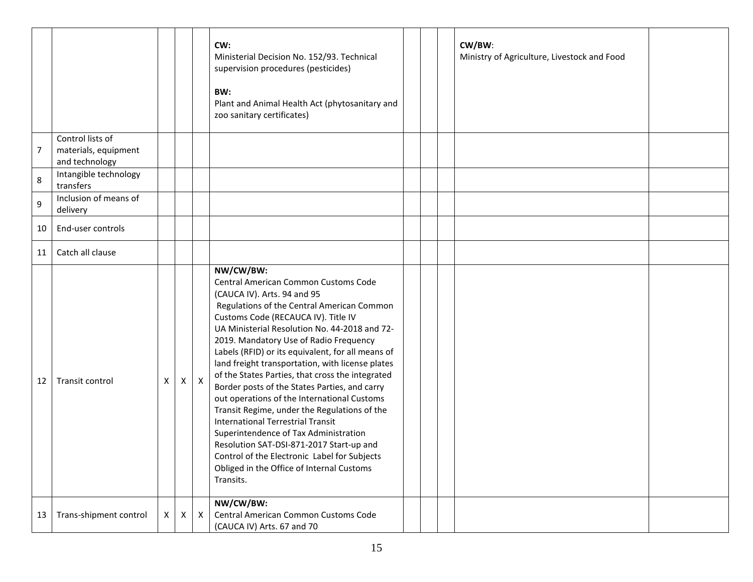|    |                                                            |   |   |                  | CW:<br>Ministerial Decision No. 152/93. Technical<br>supervision procedures (pesticides)<br>BW:<br>Plant and Animal Health Act (phytosanitary and<br>zoo sanitary certificates)                                                                                                                                                                                                                                                                                                                                                                                                                                                                                                                                                                                                                                          |  | CW/BW:<br>Ministry of Agriculture, Livestock and Food |  |
|----|------------------------------------------------------------|---|---|------------------|--------------------------------------------------------------------------------------------------------------------------------------------------------------------------------------------------------------------------------------------------------------------------------------------------------------------------------------------------------------------------------------------------------------------------------------------------------------------------------------------------------------------------------------------------------------------------------------------------------------------------------------------------------------------------------------------------------------------------------------------------------------------------------------------------------------------------|--|-------------------------------------------------------|--|
| 7  | Control lists of<br>materials, equipment<br>and technology |   |   |                  |                                                                                                                                                                                                                                                                                                                                                                                                                                                                                                                                                                                                                                                                                                                                                                                                                          |  |                                                       |  |
| 8  | Intangible technology<br>transfers                         |   |   |                  |                                                                                                                                                                                                                                                                                                                                                                                                                                                                                                                                                                                                                                                                                                                                                                                                                          |  |                                                       |  |
| 9  | Inclusion of means of<br>delivery                          |   |   |                  |                                                                                                                                                                                                                                                                                                                                                                                                                                                                                                                                                                                                                                                                                                                                                                                                                          |  |                                                       |  |
| 10 | End-user controls                                          |   |   |                  |                                                                                                                                                                                                                                                                                                                                                                                                                                                                                                                                                                                                                                                                                                                                                                                                                          |  |                                                       |  |
| 11 | Catch all clause                                           |   |   |                  |                                                                                                                                                                                                                                                                                                                                                                                                                                                                                                                                                                                                                                                                                                                                                                                                                          |  |                                                       |  |
| 12 | Transit control                                            | X | X | $\pmb{\times}$   | NW/CW/BW:<br>Central American Common Customs Code<br>(CAUCA IV). Arts. 94 and 95<br>Regulations of the Central American Common<br>Customs Code (RECAUCA IV). Title IV<br>UA Ministerial Resolution No. 44-2018 and 72-<br>2019. Mandatory Use of Radio Frequency<br>Labels (RFID) or its equivalent, for all means of<br>land freight transportation, with license plates<br>of the States Parties, that cross the integrated<br>Border posts of the States Parties, and carry<br>out operations of the International Customs<br>Transit Regime, under the Regulations of the<br><b>International Terrestrial Transit</b><br>Superintendence of Tax Administration<br>Resolution SAT-DSI-871-2017 Start-up and<br>Control of the Electronic Label for Subjects<br>Obliged in the Office of Internal Customs<br>Transits. |  |                                                       |  |
| 13 | Trans-shipment control                                     | X | X | $\boldsymbol{X}$ | NW/CW/BW:<br>Central American Common Customs Code<br>(CAUCA IV) Arts. 67 and 70                                                                                                                                                                                                                                                                                                                                                                                                                                                                                                                                                                                                                                                                                                                                          |  |                                                       |  |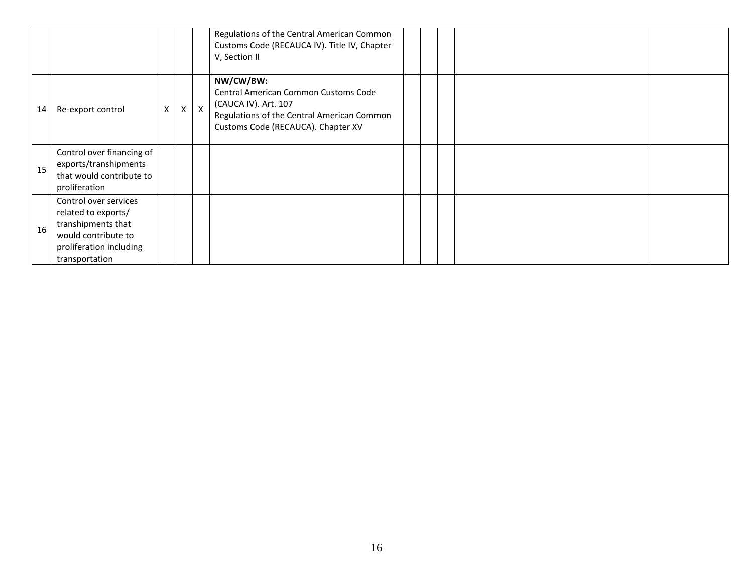|    |                                                                                                                                        |   |   |              | Regulations of the Central American Common<br>Customs Code (RECAUCA IV). Title IV, Chapter<br>V, Section II                                                   |  |  |  |
|----|----------------------------------------------------------------------------------------------------------------------------------------|---|---|--------------|---------------------------------------------------------------------------------------------------------------------------------------------------------------|--|--|--|
| 14 | Re-export control                                                                                                                      | X | X | $\mathsf{x}$ | NW/CW/BW:<br>Central American Common Customs Code<br>(CAUCA IV). Art. 107<br>Regulations of the Central American Common<br>Customs Code (RECAUCA). Chapter XV |  |  |  |
| 15 | Control over financing of<br>exports/transhipments<br>that would contribute to<br>proliferation                                        |   |   |              |                                                                                                                                                               |  |  |  |
| 16 | Control over services<br>related to exports/<br>transhipments that<br>would contribute to<br>proliferation including<br>transportation |   |   |              |                                                                                                                                                               |  |  |  |